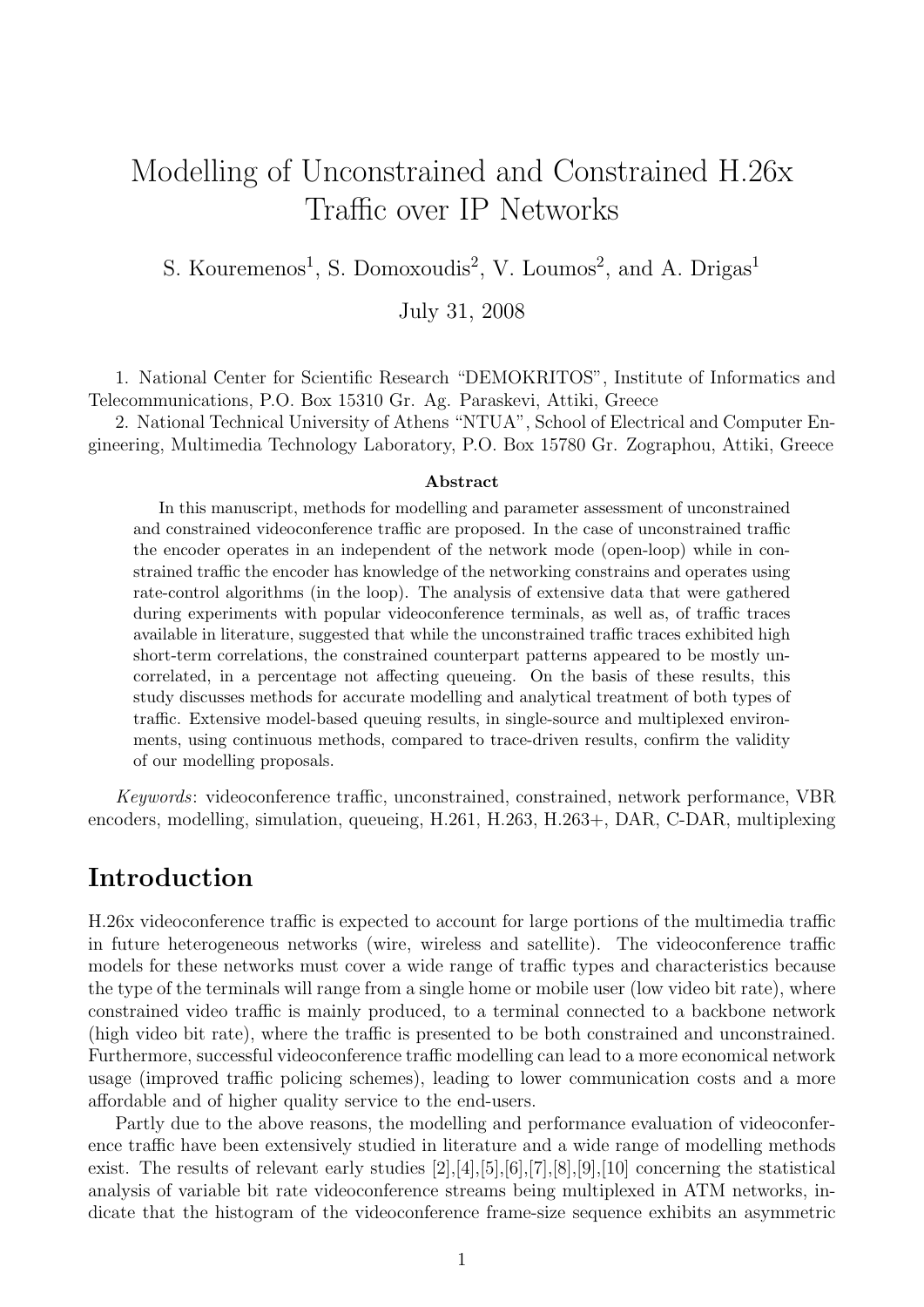# Modelling of Unconstrained and Constrained H.26x Traffic over IP Networks

S. Kouremenos<sup>1</sup>, S. Domoxoudis<sup>2</sup>, V. Loumos<sup>2</sup>, and A. Drigas<sup>1</sup>

July 31, 2008

1. National Center for Scientific Research "DEMOKRITOS", Institute of Informatics and Telecommunications, P.O. Box 15310 Gr. Ag. Paraskevi, Attiki, Greece

2. National Technical University of Athens "NTUA", School of Electrical and Computer Engineering, Multimedia Technology Laboratory, P.O. Box 15780 Gr. Zographou, Attiki, Greece

#### Abstract

In this manuscript, methods for modelling and parameter assessment of unconstrained and constrained videoconference traffic are proposed. In the case of unconstrained traffic the encoder operates in an independent of the network mode (open-loop) while in constrained traffic the encoder has knowledge of the networking constrains and operates using rate-control algorithms (in the loop). The analysis of extensive data that were gathered during experiments with popular videoconference terminals, as well as, of traffic traces available in literature, suggested that while the unconstrained traffic traces exhibited high short-term correlations, the constrained counterpart patterns appeared to be mostly uncorrelated, in a percentage not affecting queueing. On the basis of these results, this study discusses methods for accurate modelling and analytical treatment of both types of traffic. Extensive model-based queuing results, in single-source and multiplexed environments, using continuous methods, compared to trace-driven results, confirm the validity of our modelling proposals.

Keywords: videoconference traffic, unconstrained, constrained, network performance, VBR encoders, modelling, simulation, queueing, H.261, H.263, H.263+, DAR, C-DAR, multiplexing

# Introduction

H.26x videoconference traffic is expected to account for large portions of the multimedia traffic in future heterogeneous networks (wire, wireless and satellite). The videoconference traffic models for these networks must cover a wide range of traffic types and characteristics because the type of the terminals will range from a single home or mobile user (low video bit rate), where constrained video traffic is mainly produced, to a terminal connected to a backbone network (high video bit rate), where the traffic is presented to be both constrained and unconstrained. Furthermore, successful videoconference traffic modelling can lead to a more economical network usage (improved traffic policing schemes), leading to lower communication costs and a more affordable and of higher quality service to the end-users.

Partly due to the above reasons, the modelling and performance evaluation of videoconference traffic have been extensively studied in literature and a wide range of modelling methods exist. The results of relevant early studies  $[2], [4], [5], [6], [7], [8], [9], [10]$  concerning the statistical analysis of variable bit rate videoconference streams being multiplexed in ATM networks, indicate that the histogram of the videoconference frame-size sequence exhibits an asymmetric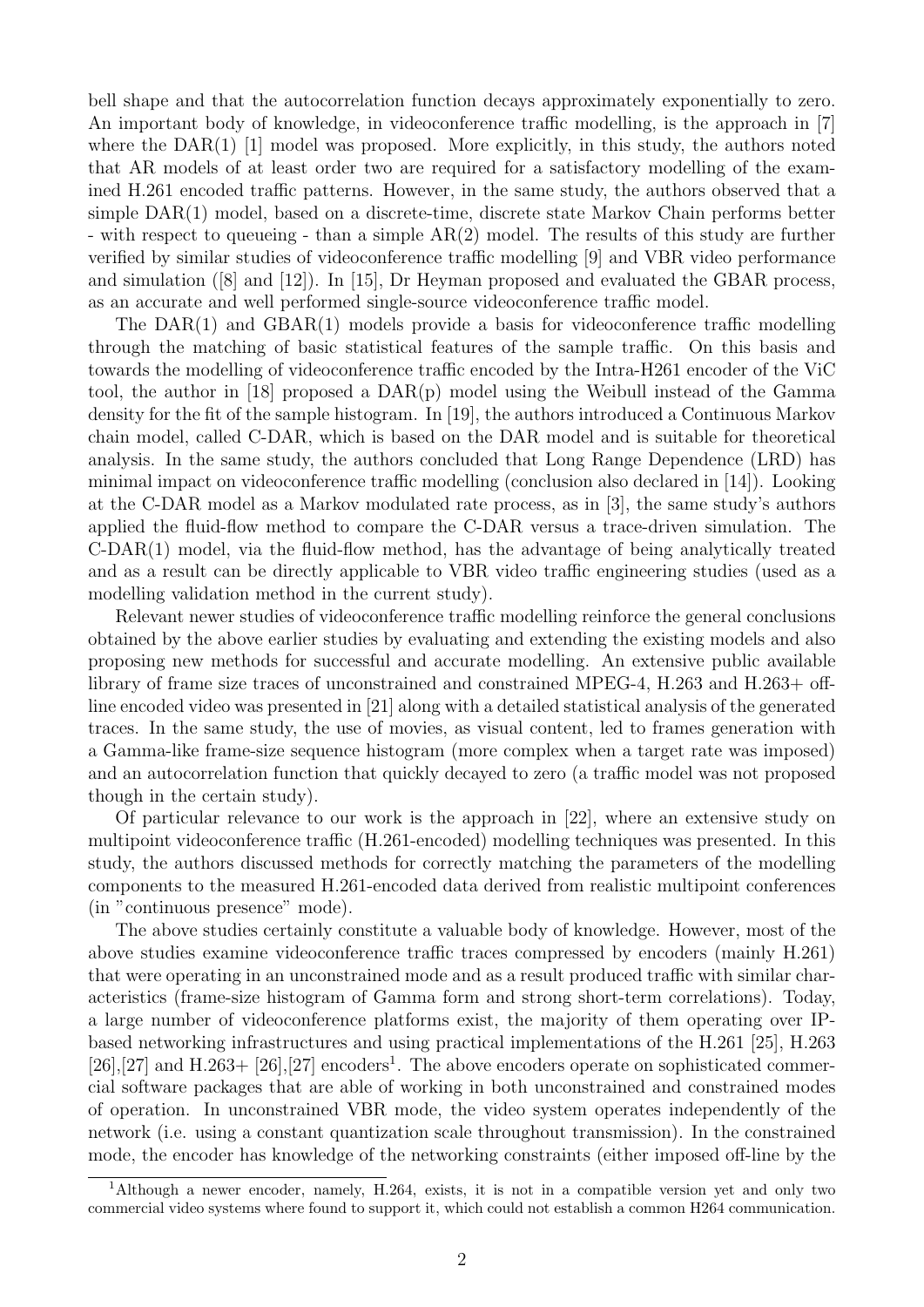bell shape and that the autocorrelation function decays approximately exponentially to zero. An important body of knowledge, in videoconference traffic modelling, is the approach in [7] where the DAR(1) [1] model was proposed. More explicitly, in this study, the authors noted that AR models of at least order two are required for a satisfactory modelling of the examined H.261 encoded traffic patterns. However, in the same study, the authors observed that a simple DAR(1) model, based on a discrete-time, discrete state Markov Chain performs better - with respect to queueing - than a simple AR(2) model. The results of this study are further verified by similar studies of videoconference traffic modelling [9] and VBR video performance and simulation ([8] and [12]). In [15], Dr Heyman proposed and evaluated the GBAR process, as an accurate and well performed single-source videoconference traffic model.

The DAR(1) and GBAR(1) models provide a basis for videoconference traffic modelling through the matching of basic statistical features of the sample traffic. On this basis and towards the modelling of videoconference traffic encoded by the Intra-H261 encoder of the ViC tool, the author in [18] proposed a DAR(p) model using the Weibull instead of the Gamma density for the fit of the sample histogram. In [19], the authors introduced a Continuous Markov chain model, called C-DAR, which is based on the DAR model and is suitable for theoretical analysis. In the same study, the authors concluded that Long Range Dependence (LRD) has minimal impact on videoconference traffic modelling (conclusion also declared in [14]). Looking at the C-DAR model as a Markov modulated rate process, as in [3], the same study's authors applied the fluid-flow method to compare the C-DAR versus a trace-driven simulation. The C-DAR(1) model, via the fluid-flow method, has the advantage of being analytically treated and as a result can be directly applicable to VBR video traffic engineering studies (used as a modelling validation method in the current study).

Relevant newer studies of videoconference traffic modelling reinforce the general conclusions obtained by the above earlier studies by evaluating and extending the existing models and also proposing new methods for successful and accurate modelling. An extensive public available library of frame size traces of unconstrained and constrained MPEG-4, H.263 and H.263+ offline encoded video was presented in [21] along with a detailed statistical analysis of the generated traces. In the same study, the use of movies, as visual content, led to frames generation with a Gamma-like frame-size sequence histogram (more complex when a target rate was imposed) and an autocorrelation function that quickly decayed to zero (a traffic model was not proposed though in the certain study).

Of particular relevance to our work is the approach in [22], where an extensive study on multipoint videoconference traffic (H.261-encoded) modelling techniques was presented. In this study, the authors discussed methods for correctly matching the parameters of the modelling components to the measured H.261-encoded data derived from realistic multipoint conferences (in "continuous presence" mode).

The above studies certainly constitute a valuable body of knowledge. However, most of the above studies examine videoconference traffic traces compressed by encoders (mainly H.261) that were operating in an unconstrained mode and as a result produced traffic with similar characteristics (frame-size histogram of Gamma form and strong short-term correlations). Today, a large number of videoconference platforms exist, the majority of them operating over IPbased networking infrastructures and using practical implementations of the H.261 [25], H.263  $[26],[27]$  and H.263+  $[26],[27]$  encoders<sup>1</sup>. The above encoders operate on sophisticated commercial software packages that are able of working in both unconstrained and constrained modes of operation. In unconstrained VBR mode, the video system operates independently of the network (i.e. using a constant quantization scale throughout transmission). In the constrained mode, the encoder has knowledge of the networking constraints (either imposed off-line by the

<sup>1</sup>Although a newer encoder, namely, H.264, exists, it is not in a compatible version yet and only two commercial video systems where found to support it, which could not establish a common H264 communication.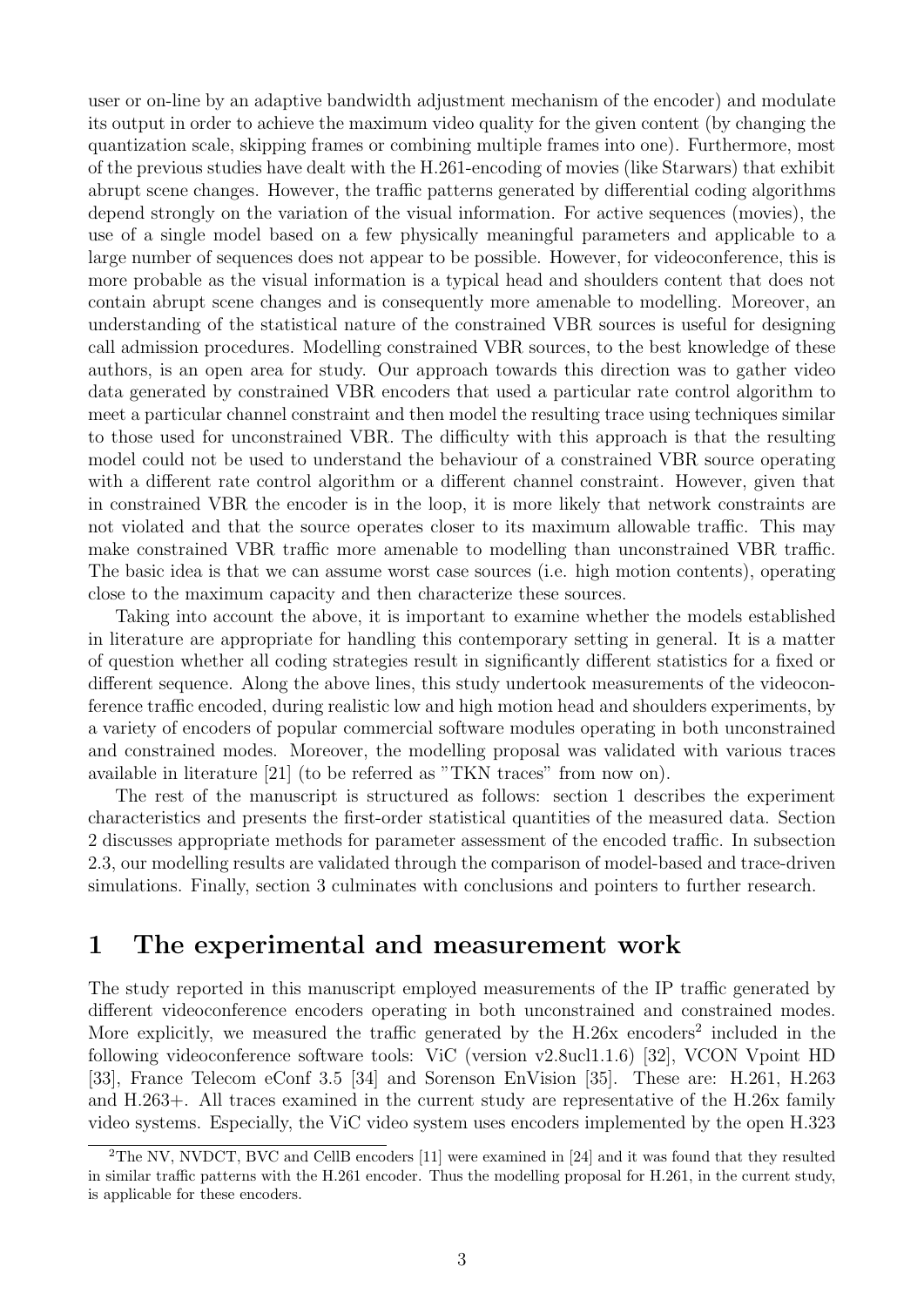user or on-line by an adaptive bandwidth adjustment mechanism of the encoder) and modulate its output in order to achieve the maximum video quality for the given content (by changing the quantization scale, skipping frames or combining multiple frames into one). Furthermore, most of the previous studies have dealt with the H.261-encoding of movies (like Starwars) that exhibit abrupt scene changes. However, the traffic patterns generated by differential coding algorithms depend strongly on the variation of the visual information. For active sequences (movies), the use of a single model based on a few physically meaningful parameters and applicable to a large number of sequences does not appear to be possible. However, for videoconference, this is more probable as the visual information is a typical head and shoulders content that does not contain abrupt scene changes and is consequently more amenable to modelling. Moreover, an understanding of the statistical nature of the constrained VBR sources is useful for designing call admission procedures. Modelling constrained VBR sources, to the best knowledge of these authors, is an open area for study. Our approach towards this direction was to gather video data generated by constrained VBR encoders that used a particular rate control algorithm to meet a particular channel constraint and then model the resulting trace using techniques similar to those used for unconstrained VBR. The difficulty with this approach is that the resulting model could not be used to understand the behaviour of a constrained VBR source operating with a different rate control algorithm or a different channel constraint. However, given that in constrained VBR the encoder is in the loop, it is more likely that network constraints are not violated and that the source operates closer to its maximum allowable traffic. This may make constrained VBR traffic more amenable to modelling than unconstrained VBR traffic. The basic idea is that we can assume worst case sources (i.e. high motion contents), operating close to the maximum capacity and then characterize these sources.

Taking into account the above, it is important to examine whether the models established in literature are appropriate for handling this contemporary setting in general. It is a matter of question whether all coding strategies result in significantly different statistics for a fixed or different sequence. Along the above lines, this study undertook measurements of the videoconference traffic encoded, during realistic low and high motion head and shoulders experiments, by a variety of encoders of popular commercial software modules operating in both unconstrained and constrained modes. Moreover, the modelling proposal was validated with various traces available in literature [21] (to be referred as "TKN traces" from now on).

The rest of the manuscript is structured as follows: section 1 describes the experiment characteristics and presents the first-order statistical quantities of the measured data. Section 2 discusses appropriate methods for parameter assessment of the encoded traffic. In subsection 2.3, our modelling results are validated through the comparison of model-based and trace-driven simulations. Finally, section 3 culminates with conclusions and pointers to further research.

# 1 The experimental and measurement work

The study reported in this manuscript employed measurements of the IP traffic generated by different videoconference encoders operating in both unconstrained and constrained modes. More explicitly, we measured the traffic generated by the  $H.26x$  encoders<sup>2</sup> included in the following videoconference software tools: ViC (version v2.8ucl1.1.6) [32], VCON Vpoint HD [33], France Telecom eConf 3.5 [34] and Sorenson EnVision [35]. These are: H.261, H.263 and H.263+. All traces examined in the current study are representative of the H.26x family video systems. Especially, the ViC video system uses encoders implemented by the open H.323

<sup>2</sup>The NV, NVDCT, BVC and CellB encoders [11] were examined in [24] and it was found that they resulted in similar traffic patterns with the H.261 encoder. Thus the modelling proposal for H.261, in the current study, is applicable for these encoders.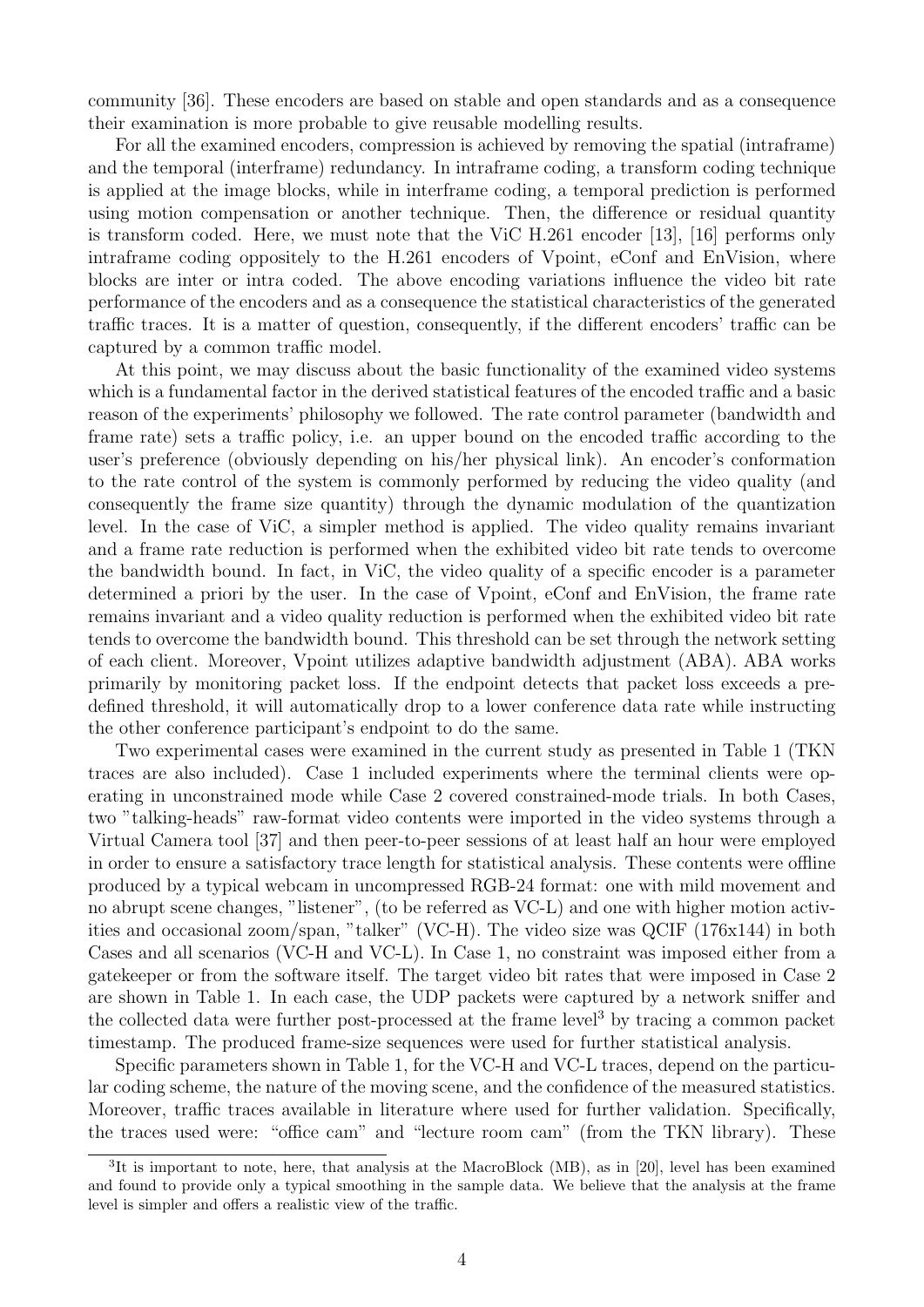community [36]. These encoders are based on stable and open standards and as a consequence their examination is more probable to give reusable modelling results.

For all the examined encoders, compression is achieved by removing the spatial (intraframe) and the temporal (interframe) redundancy. In intraframe coding, a transform coding technique is applied at the image blocks, while in interframe coding, a temporal prediction is performed using motion compensation or another technique. Then, the difference or residual quantity is transform coded. Here, we must note that the ViC H.261 encoder [13], [16] performs only intraframe coding oppositely to the H.261 encoders of Vpoint, eConf and EnVision, where blocks are inter or intra coded. The above encoding variations influence the video bit rate performance of the encoders and as a consequence the statistical characteristics of the generated traffic traces. It is a matter of question, consequently, if the different encoders' traffic can be captured by a common traffic model.

At this point, we may discuss about the basic functionality of the examined video systems which is a fundamental factor in the derived statistical features of the encoded traffic and a basic reason of the experiments' philosophy we followed. The rate control parameter (bandwidth and frame rate) sets a traffic policy, i.e. an upper bound on the encoded traffic according to the user's preference (obviously depending on his/her physical link). An encoder's conformation to the rate control of the system is commonly performed by reducing the video quality (and consequently the frame size quantity) through the dynamic modulation of the quantization level. In the case of ViC, a simpler method is applied. The video quality remains invariant and a frame rate reduction is performed when the exhibited video bit rate tends to overcome the bandwidth bound. In fact, in ViC, the video quality of a specific encoder is a parameter determined a priori by the user. In the case of Vpoint, eConf and EnVision, the frame rate remains invariant and a video quality reduction is performed when the exhibited video bit rate tends to overcome the bandwidth bound. This threshold can be set through the network setting of each client. Moreover, Vpoint utilizes adaptive bandwidth adjustment (ABA). ABA works primarily by monitoring packet loss. If the endpoint detects that packet loss exceeds a predefined threshold, it will automatically drop to a lower conference data rate while instructing the other conference participant's endpoint to do the same.

Two experimental cases were examined in the current study as presented in Table 1 (TKN traces are also included). Case 1 included experiments where the terminal clients were operating in unconstrained mode while Case 2 covered constrained-mode trials. In both Cases, two "talking-heads" raw-format video contents were imported in the video systems through a Virtual Camera tool [37] and then peer-to-peer sessions of at least half an hour were employed in order to ensure a satisfactory trace length for statistical analysis. These contents were offline produced by a typical webcam in uncompressed RGB-24 format: one with mild movement and no abrupt scene changes, "listener", (to be referred as VC-L) and one with higher motion activities and occasional zoom/span, "talker" (VC-H). The video size was QCIF (176x144) in both Cases and all scenarios (VC-H and VC-L). In Case 1, no constraint was imposed either from a gatekeeper or from the software itself. The target video bit rates that were imposed in Case 2 are shown in Table 1. In each case, the UDP packets were captured by a network sniffer and the collected data were further post-processed at the frame level<sup>3</sup> by tracing a common packet timestamp. The produced frame-size sequences were used for further statistical analysis.

Specific parameters shown in Table 1, for the VC-H and VC-L traces, depend on the particular coding scheme, the nature of the moving scene, and the confidence of the measured statistics. Moreover, traffic traces available in literature where used for further validation. Specifically, the traces used were: "office cam" and "lecture room cam" (from the TKN library). These

 ${}^{3}$ It is important to note, here, that analysis at the MacroBlock (MB), as in [20], level has been examined and found to provide only a typical smoothing in the sample data. We believe that the analysis at the frame level is simpler and offers a realistic view of the traffic.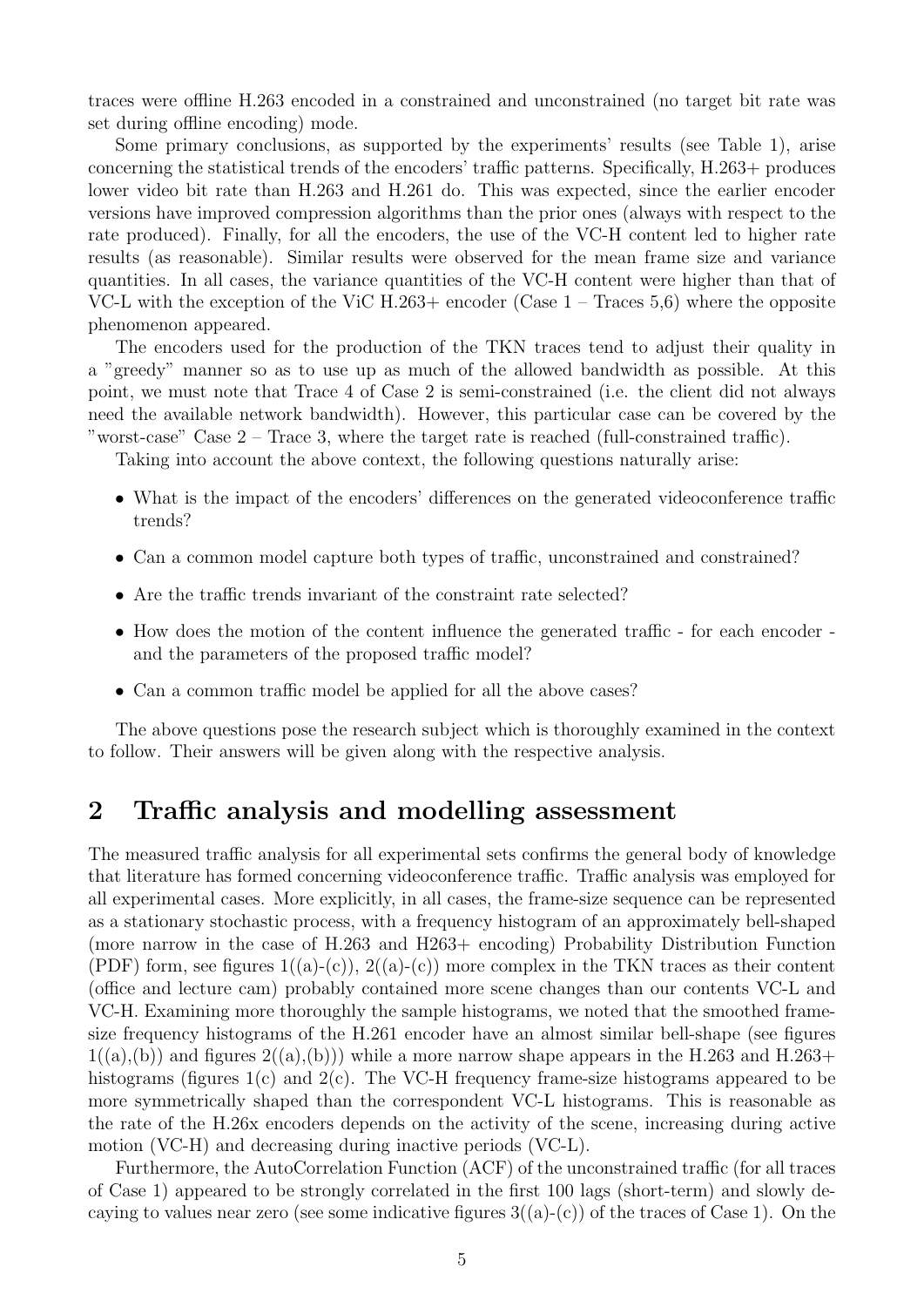traces were offline H.263 encoded in a constrained and unconstrained (no target bit rate was set during offline encoding) mode.

Some primary conclusions, as supported by the experiments' results (see Table 1), arise concerning the statistical trends of the encoders' traffic patterns. Specifically, H.263+ produces lower video bit rate than H.263 and H.261 do. This was expected, since the earlier encoder versions have improved compression algorithms than the prior ones (always with respect to the rate produced). Finally, for all the encoders, the use of the VC-H content led to higher rate results (as reasonable). Similar results were observed for the mean frame size and variance quantities. In all cases, the variance quantities of the VC-H content were higher than that of VC-L with the exception of the ViC H.263+ encoder (Case  $1$  – Traces 5,6) where the opposite phenomenon appeared.

The encoders used for the production of the TKN traces tend to adjust their quality in a "greedy" manner so as to use up as much of the allowed bandwidth as possible. At this point, we must note that Trace 4 of Case 2 is semi-constrained (i.e. the client did not always need the available network bandwidth). However, this particular case can be covered by the "worst-case" Case 2 – Trace 3, where the target rate is reached (full-constrained traffic).

Taking into account the above context, the following questions naturally arise:

- What is the impact of the encoders' differences on the generated videoconference traffic trends?
- Can a common model capture both types of traffic, unconstrained and constrained?
- Are the traffic trends invariant of the constraint rate selected?
- How does the motion of the content influence the generated traffic for each encoder and the parameters of the proposed traffic model?
- Can a common traffic model be applied for all the above cases?

The above questions pose the research subject which is thoroughly examined in the context to follow. Their answers will be given along with the respective analysis.

# 2 Traffic analysis and modelling assessment

The measured traffic analysis for all experimental sets confirms the general body of knowledge that literature has formed concerning videoconference traffic. Traffic analysis was employed for all experimental cases. More explicitly, in all cases, the frame-size sequence can be represented as a stationary stochastic process, with a frequency histogram of an approximately bell-shaped (more narrow in the case of H.263 and H263+ encoding) Probability Distribution Function (PDF) form, see figures  $1((a)-(c))$ ,  $2((a)-(c))$  more complex in the TKN traces as their content (office and lecture cam) probably contained more scene changes than our contents VC-L and VC-H. Examining more thoroughly the sample histograms, we noted that the smoothed framesize frequency histograms of the H.261 encoder have an almost similar bell-shape (see figures  $1((a),(b))$  and figures  $2((a),(b))$  while a more narrow shape appears in the H.263 and H.263+ histograms (figures 1(c) and 2(c). The VC-H frequency frame-size histograms appeared to be more symmetrically shaped than the correspondent VC-L histograms. This is reasonable as the rate of the H.26x encoders depends on the activity of the scene, increasing during active motion (VC-H) and decreasing during inactive periods (VC-L).

Furthermore, the AutoCorrelation Function (ACF) of the unconstrained traffic (for all traces of Case 1) appeared to be strongly correlated in the first 100 lags (short-term) and slowly decaying to values near zero (see some indicative figures  $3((a)-(c))$  of the traces of Case 1). On the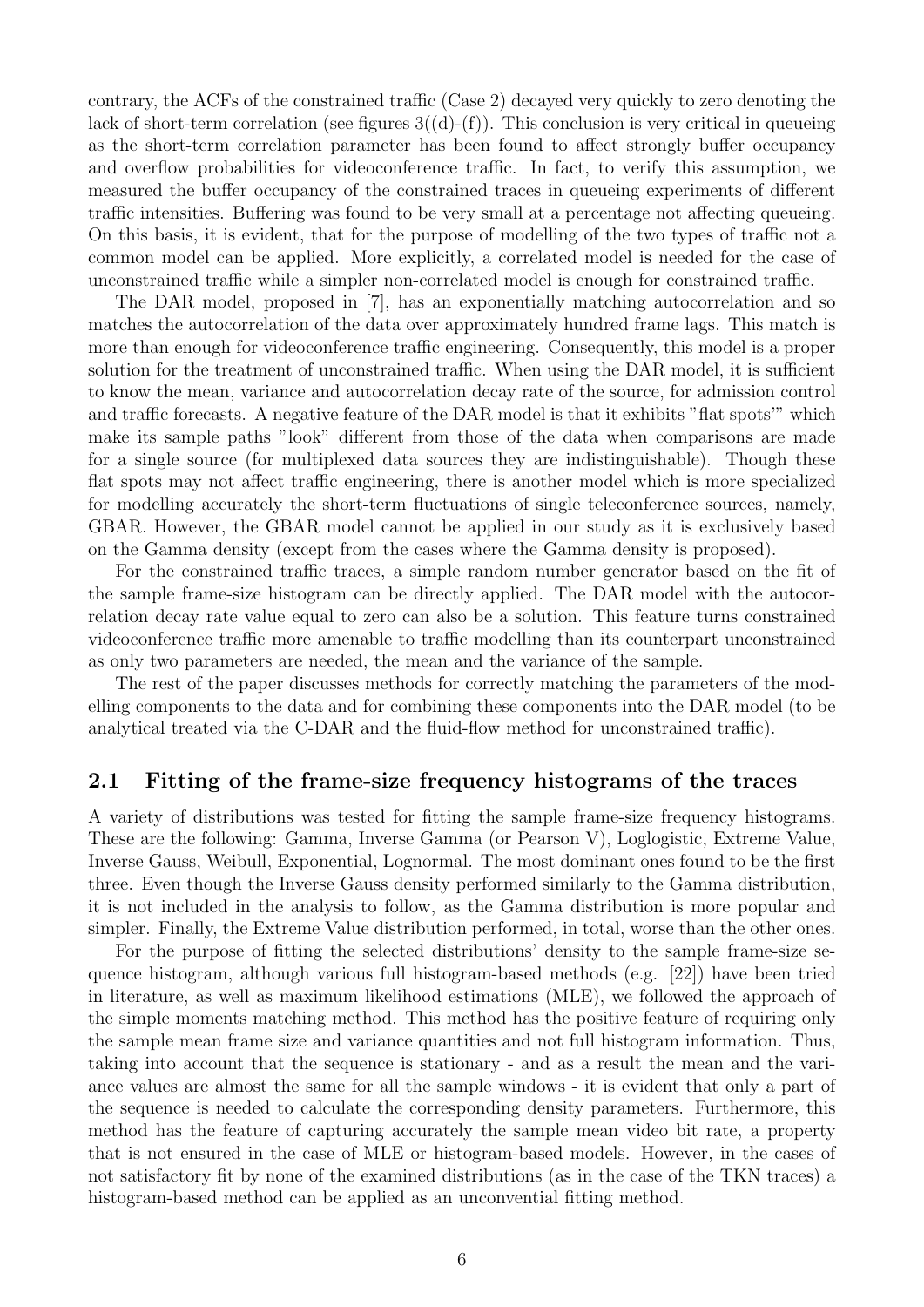contrary, the ACFs of the constrained traffic (Case 2) decayed very quickly to zero denoting the lack of short-term correlation (see figures  $3((d)-(f))$ ). This conclusion is very critical in queueing as the short-term correlation parameter has been found to affect strongly buffer occupancy and overflow probabilities for videoconference traffic. In fact, to verify this assumption, we measured the buffer occupancy of the constrained traces in queueing experiments of different traffic intensities. Buffering was found to be very small at a percentage not affecting queueing. On this basis, it is evident, that for the purpose of modelling of the two types of traffic not a common model can be applied. More explicitly, a correlated model is needed for the case of unconstrained traffic while a simpler non-correlated model is enough for constrained traffic.

The DAR model, proposed in [7], has an exponentially matching autocorrelation and so matches the autocorrelation of the data over approximately hundred frame lags. This match is more than enough for videoconference traffic engineering. Consequently, this model is a proper solution for the treatment of unconstrained traffic. When using the DAR model, it is sufficient to know the mean, variance and autocorrelation decay rate of the source, for admission control and traffic forecasts. A negative feature of the DAR model is that it exhibits "flat spots'" which make its sample paths "look" different from those of the data when comparisons are made for a single source (for multiplexed data sources they are indistinguishable). Though these flat spots may not affect traffic engineering, there is another model which is more specialized for modelling accurately the short-term fluctuations of single teleconference sources, namely, GBAR. However, the GBAR model cannot be applied in our study as it is exclusively based on the Gamma density (except from the cases where the Gamma density is proposed).

For the constrained traffic traces, a simple random number generator based on the fit of the sample frame-size histogram can be directly applied. The DAR model with the autocorrelation decay rate value equal to zero can also be a solution. This feature turns constrained videoconference traffic more amenable to traffic modelling than its counterpart unconstrained as only two parameters are needed, the mean and the variance of the sample.

The rest of the paper discusses methods for correctly matching the parameters of the modelling components to the data and for combining these components into the DAR model (to be analytical treated via the C-DAR and the fluid-flow method for unconstrained traffic).

#### 2.1 Fitting of the frame-size frequency histograms of the traces

A variety of distributions was tested for fitting the sample frame-size frequency histograms. These are the following: Gamma, Inverse Gamma (or Pearson V), Loglogistic, Extreme Value, Inverse Gauss, Weibull, Exponential, Lognormal. The most dominant ones found to be the first three. Even though the Inverse Gauss density performed similarly to the Gamma distribution, it is not included in the analysis to follow, as the Gamma distribution is more popular and simpler. Finally, the Extreme Value distribution performed, in total, worse than the other ones.

For the purpose of fitting the selected distributions' density to the sample frame-size sequence histogram, although various full histogram-based methods (e.g. [22]) have been tried in literature, as well as maximum likelihood estimations (MLE), we followed the approach of the simple moments matching method. This method has the positive feature of requiring only the sample mean frame size and variance quantities and not full histogram information. Thus, taking into account that the sequence is stationary - and as a result the mean and the variance values are almost the same for all the sample windows - it is evident that only a part of the sequence is needed to calculate the corresponding density parameters. Furthermore, this method has the feature of capturing accurately the sample mean video bit rate, a property that is not ensured in the case of MLE or histogram-based models. However, in the cases of not satisfactory fit by none of the examined distributions (as in the case of the TKN traces) a histogram-based method can be applied as an unconvential fitting method.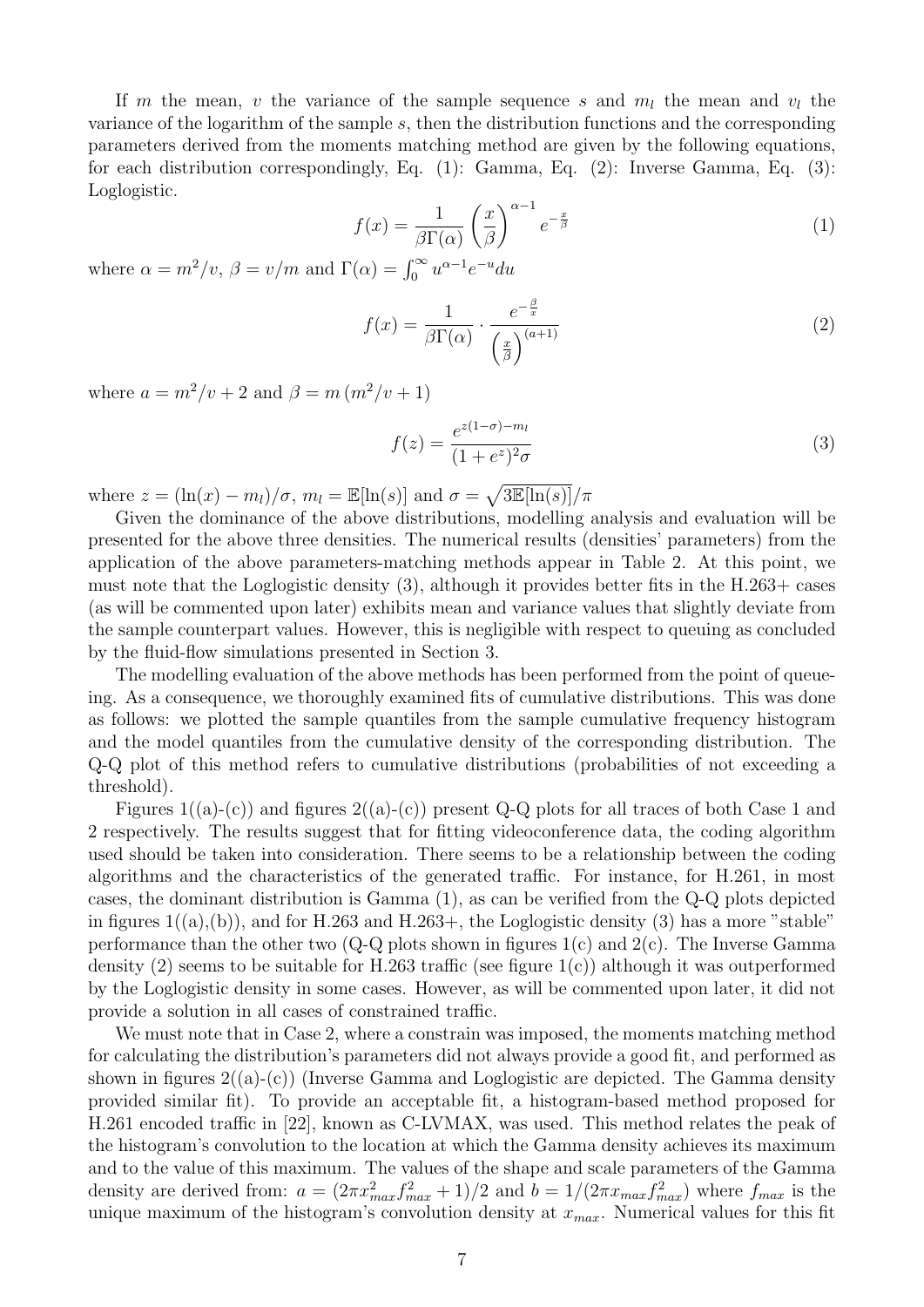If m the mean, v the variance of the sample sequence s and  $m_l$  the mean and  $v_l$  the variance of the logarithm of the sample s, then the distribution functions and the corresponding parameters derived from the moments matching method are given by the following equations, for each distribution correspondingly, Eq. (1): Gamma, Eq. (2): Inverse Gamma, Eq. (3): Loglogistic.

$$
f(x) = \frac{1}{\beta \Gamma(\alpha)} \left(\frac{x}{\beta}\right)^{\alpha - 1} e^{-\frac{x}{\beta}}
$$
 (1)

where  $\alpha = m^2/v$ ,  $\beta = v/m$  and  $\Gamma(\alpha) = \int_0^\infty u^{\alpha-1} e^{-u} du$ 

$$
f(x) = \frac{1}{\beta \Gamma(\alpha)} \cdot \frac{e^{-\frac{\beta}{x}}}{\left(\frac{x}{\beta}\right)^{(a+1)}}
$$
(2)

where  $a = m^2/v + 2$  and  $\beta = m (m^2/v + 1)$ 

$$
f(z) = \frac{e^{z(1-\sigma)-m_l}}{(1+e^z)^2 \sigma}
$$
 (3)

where  $z = (\ln(x) - m_l)/\sigma$ ,  $m_l = \mathbb{E}[\ln(s)]$  and  $\sigma = \sqrt{3\mathbb{E}[\ln(s)]}/\pi$ 

Given the dominance of the above distributions, modelling analysis and evaluation will be presented for the above three densities. The numerical results (densities' parameters) from the application of the above parameters-matching methods appear in Table 2. At this point, we must note that the Loglogistic density (3), although it provides better fits in the H.263+ cases (as will be commented upon later) exhibits mean and variance values that slightly deviate from the sample counterpart values. However, this is negligible with respect to queuing as concluded by the fluid-flow simulations presented in Section 3.

The modelling evaluation of the above methods has been performed from the point of queueing. As a consequence, we thoroughly examined fits of cumulative distributions. This was done as follows: we plotted the sample quantiles from the sample cumulative frequency histogram and the model quantiles from the cumulative density of the corresponding distribution. The Q-Q plot of this method refers to cumulative distributions (probabilities of not exceeding a threshold).

Figures  $1((a)-(c))$  and figures  $2((a)-(c))$  present Q-Q plots for all traces of both Case 1 and 2 respectively. The results suggest that for fitting videoconference data, the coding algorithm used should be taken into consideration. There seems to be a relationship between the coding algorithms and the characteristics of the generated traffic. For instance, for H.261, in most cases, the dominant distribution is Gamma (1), as can be verified from the Q-Q plots depicted in figures  $1((a),(b))$ , and for H.263 and H.263+, the Loglogistic density (3) has a more "stable" performance than the other two  $(Q-Q)$  plots shown in figures  $1(c)$  and  $2(c)$ . The Inverse Gamma density (2) seems to be suitable for H.263 traffic (see figure  $1(c)$ ) although it was outperformed by the Loglogistic density in some cases. However, as will be commented upon later, it did not provide a solution in all cases of constrained traffic.

We must note that in Case 2, where a constrain was imposed, the moments matching method for calculating the distribution's parameters did not always provide a good fit, and performed as shown in figures  $2((a)-(c))$  (Inverse Gamma and Loglogistic are depicted. The Gamma density provided similar fit). To provide an acceptable fit, a histogram-based method proposed for H.261 encoded traffic in [22], known as C-LVMAX, was used. This method relates the peak of the histogram's convolution to the location at which the Gamma density achieves its maximum and to the value of this maximum. The values of the shape and scale parameters of the Gamma density are derived from:  $a = (2\pi x_{max}^2 f_{max}^2 + 1)/2$  and  $b = 1/(2\pi x_{max} f_{max}^2)$  where  $f_{max}$  is the unique maximum of the histogram's convolution density at  $x_{max}$ . Numerical values for this fit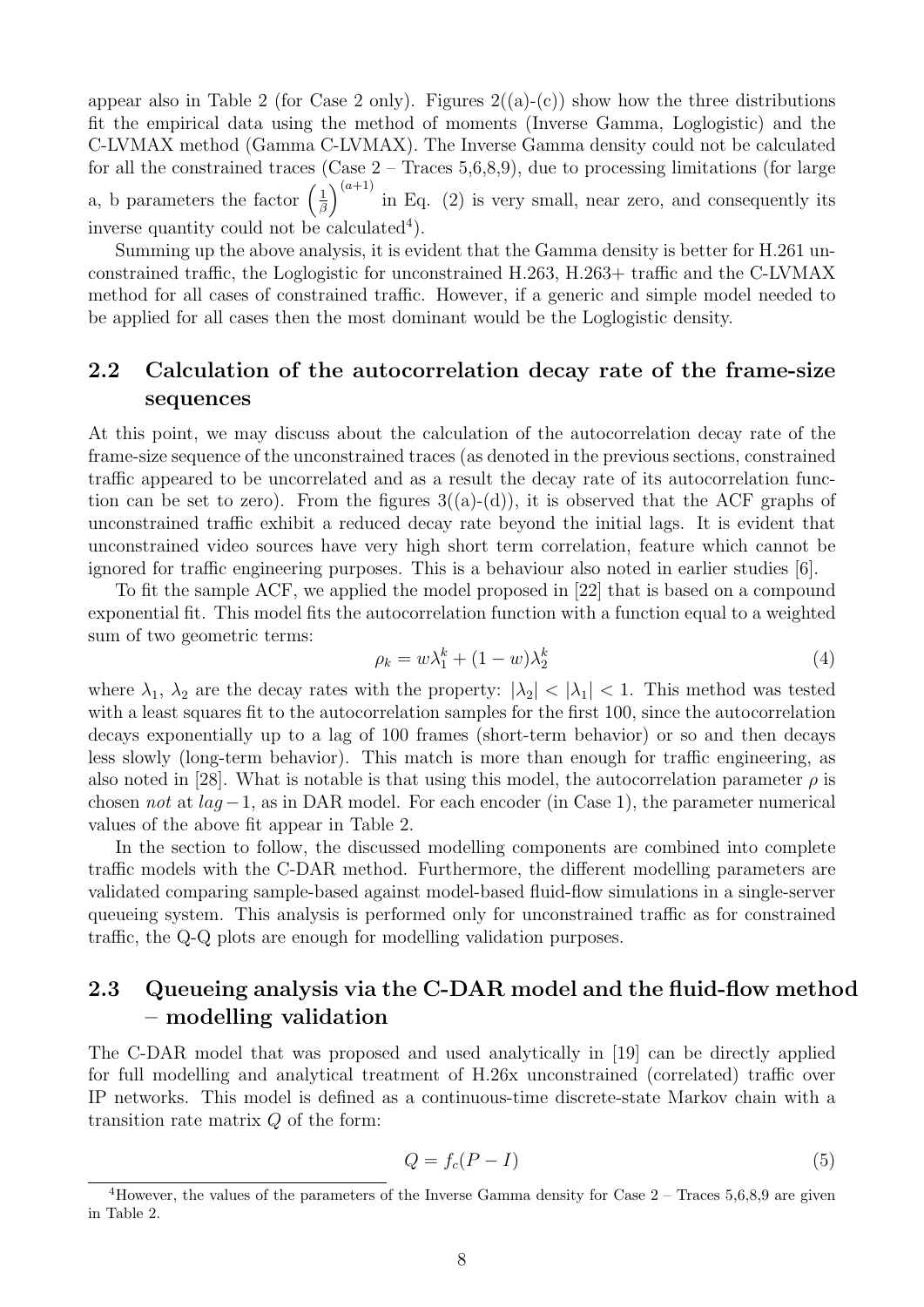appear also in Table 2 (for Case 2 only). Figures  $2((a)-(c))$  show how the three distributions fit the empirical data using the method of moments (Inverse Gamma, Loglogistic) and the C-LVMAX method (Gamma C-LVMAX). The Inverse Gamma density could not be calculated for all the constrained traces  $(Case 2 - Traces 5,6,8,9)$ , due to processing limitations (for large a, b parameters the factor  $\left(\frac{1}{4}\right)$  $\frac{1}{\beta}$  (a+1) in Eq. (2) is very small, near zero, and consequently its inverse quantity could not be calculated<sup>4</sup>).

Summing up the above analysis, it is evident that the Gamma density is better for H.261 unconstrained traffic, the Loglogistic for unconstrained H.263, H.263+ traffic and the C-LVMAX method for all cases of constrained traffic. However, if a generic and simple model needed to be applied for all cases then the most dominant would be the Loglogistic density.

#### 2.2 Calculation of the autocorrelation decay rate of the frame-size sequences

At this point, we may discuss about the calculation of the autocorrelation decay rate of the frame-size sequence of the unconstrained traces (as denoted in the previous sections, constrained traffic appeared to be uncorrelated and as a result the decay rate of its autocorrelation function can be set to zero). From the figures  $3((a)-(d))$ , it is observed that the ACF graphs of unconstrained traffic exhibit a reduced decay rate beyond the initial lags. It is evident that unconstrained video sources have very high short term correlation, feature which cannot be ignored for traffic engineering purposes. This is a behaviour also noted in earlier studies [6].

To fit the sample ACF, we applied the model proposed in [22] that is based on a compound exponential fit. This model fits the autocorrelation function with a function equal to a weighted sum of two geometric terms:

$$
\rho_k = w\lambda_1^k + (1 - w)\lambda_2^k \tag{4}
$$

where  $\lambda_1$ ,  $\lambda_2$  are the decay rates with the property:  $|\lambda_2| < |\lambda_1| < 1$ . This method was tested with a least squares fit to the autocorrelation samples for the first 100, since the autocorrelation decays exponentially up to a lag of 100 frames (short-term behavior) or so and then decays less slowly (long-term behavior). This match is more than enough for traffic engineering, as also noted in [28]. What is notable is that using this model, the autocorrelation parameter  $\rho$  is chosen not at  $lag-1$ , as in DAR model. For each encoder (in Case 1), the parameter numerical values of the above fit appear in Table 2.

In the section to follow, the discussed modelling components are combined into complete traffic models with the C-DAR method. Furthermore, the different modelling parameters are validated comparing sample-based against model-based fluid-flow simulations in a single-server queueing system. This analysis is performed only for unconstrained traffic as for constrained traffic, the Q-Q plots are enough for modelling validation purposes.

### 2.3 Queueing analysis via the C-DAR model and the fluid-flow method – modelling validation

The C-DAR model that was proposed and used analytically in [19] can be directly applied for full modelling and analytical treatment of H.26x unconstrained (correlated) traffic over IP networks. This model is defined as a continuous-time discrete-state Markov chain with a transition rate matrix Q of the form:

$$
Q = f_c(P - I) \tag{5}
$$

<sup>&</sup>lt;sup>4</sup>However, the values of the parameters of the Inverse Gamma density for Case  $2$  – Traces 5,6,8,9 are given in Table 2.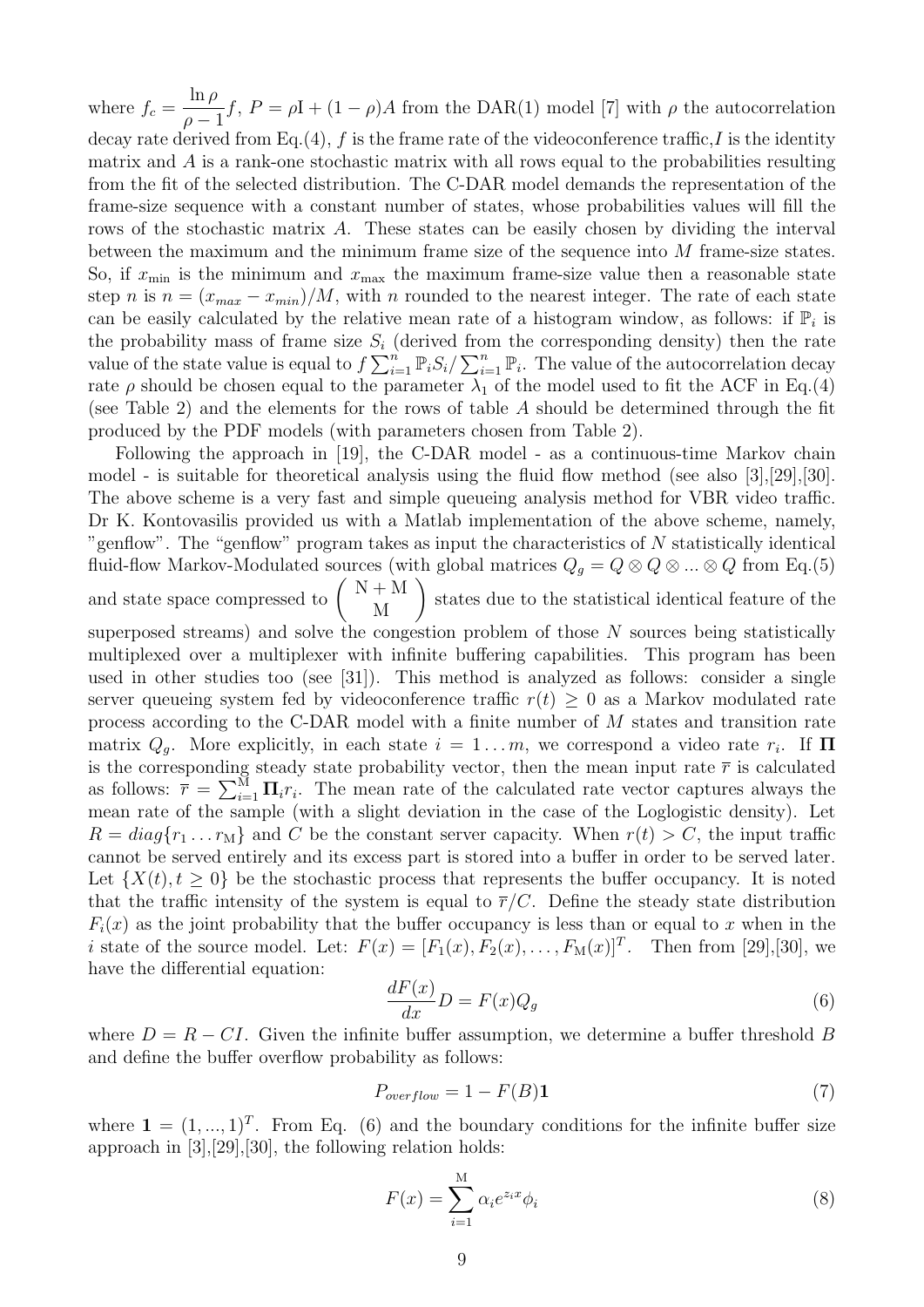where  $f_c =$  $\ln \rho$  $\rho - 1$ f,  $P = \rho I + (1 - \rho)A$  from the DAR(1) model [7] with  $\rho$  the autocorrelation decay rate derived from Eq.(4), f is the frame rate of the videoconference traffic, I is the identity matrix and  $\tilde{A}$  is a rank-one stochastic matrix with all rows equal to the probabilities resulting from the fit of the selected distribution. The C-DAR model demands the representation of the frame-size sequence with a constant number of states, whose probabilities values will fill the rows of the stochastic matrix A. These states can be easily chosen by dividing the interval between the maximum and the minimum frame size of the sequence into M frame-size states. So, if  $x_{\min}$  is the minimum and  $x_{\max}$  the maximum frame-size value then a reasonable state step n is  $n = (x_{max} - x_{min})/M$ , with n rounded to the nearest integer. The rate of each state can be easily calculated by the relative mean rate of a histogram window, as follows: if  $\mathbb{P}_i$  is the probability mass of frame size  $S_i$  (derived from the corresponding density) then the rate value of the state value is equal to  $f \sum_{i=1}^n \mathbb{P}_i S_i / \sum_{i=1}^n \mathbb{P}_i$ . The value of the autocorrelation decay rate  $\rho$  should be chosen equal to the parameter  $\lambda_1$  of the model used to fit the ACF in Eq.(4) (see Table 2) and the elements for the rows of table A should be determined through the fit produced by the PDF models (with parameters chosen from Table 2).

Following the approach in [19], the C-DAR model - as a continuous-time Markov chain model - is suitable for theoretical analysis using the fluid flow method (see also [3],[29],[30]. The above scheme is a very fast and simple queueing analysis method for VBR video traffic. Dr K. Kontovasilis provided us with a Matlab implementation of the above scheme, namely, "genflow". The "genflow" program takes as input the characteristics of N statistically identical fluid-flow Markov-Modulated sources (with global matrices  $Q_g = Q \otimes Q \otimes ... \otimes Q$  from Eq.(5) and state space compressed to  $\begin{pmatrix} N+M \\ M \end{pmatrix}$ M  $\setminus$ states due to the statistical identical feature of the superposed streams) and solve the congestion problem of those  $N$  sources being statistically multiplexed over a multiplexer with infinite buffering capabilities. This program has been used in other studies too (see [31]). This method is analyzed as follows: consider a single server queueing system fed by videoconference traffic  $r(t) > 0$  as a Markov modulated rate process according to the C-DAR model with a finite number of M states and transition rate matrix  $Q_g$ . More explicitly, in each state  $i = 1...m$ , we correspond a video rate  $r_i$ . If  $\Pi$ is the corresponding steady state probability vector, then the mean input rate  $\bar{r}$  is calculated as follows:  $\bar{r} = \sum_{i=1}^{M} \Pi_i r_i$ . The mean rate of the calculated rate vector captures always the mean rate of the sample (with a slight deviation in the case of the Loglogistic density). Let  $R = diag{r_1 \dots r_M}$  and C be the constant server capacity. When  $r(t) > C$ , the input traffic cannot be served entirely and its excess part is stored into a buffer in order to be served later. Let  $\{X(t), t \geq 0\}$  be the stochastic process that represents the buffer occupancy. It is noted that the traffic intensity of the system is equal to  $\overline{r}/C$ . Define the steady state distribution  $F_i(x)$  as the joint probability that the buffer occupancy is less than or equal to x when in the *i* state of the source model. Let:  $F(x) = [F_1(x), F_2(x), \ldots, F_M(x)]^T$ . Then from [29],[30], we have the differential equation:

$$
\frac{dF(x)}{dx}D = F(x)Q_g\tag{6}
$$

where  $D = R - CI$ . Given the infinite buffer assumption, we determine a buffer threshold B and define the buffer overflow probability as follows:

$$
P_{overflow} = 1 - F(B)\mathbf{1} \tag{7}
$$

where  $\mathbf{1} = (1, ..., 1)^T$ . From Eq. (6) and the boundary conditions for the infinite buffer size approach in [3],[29],[30], the following relation holds:

$$
F(x) = \sum_{i=1}^{M} \alpha_i e^{z_i x} \phi_i
$$
 (8)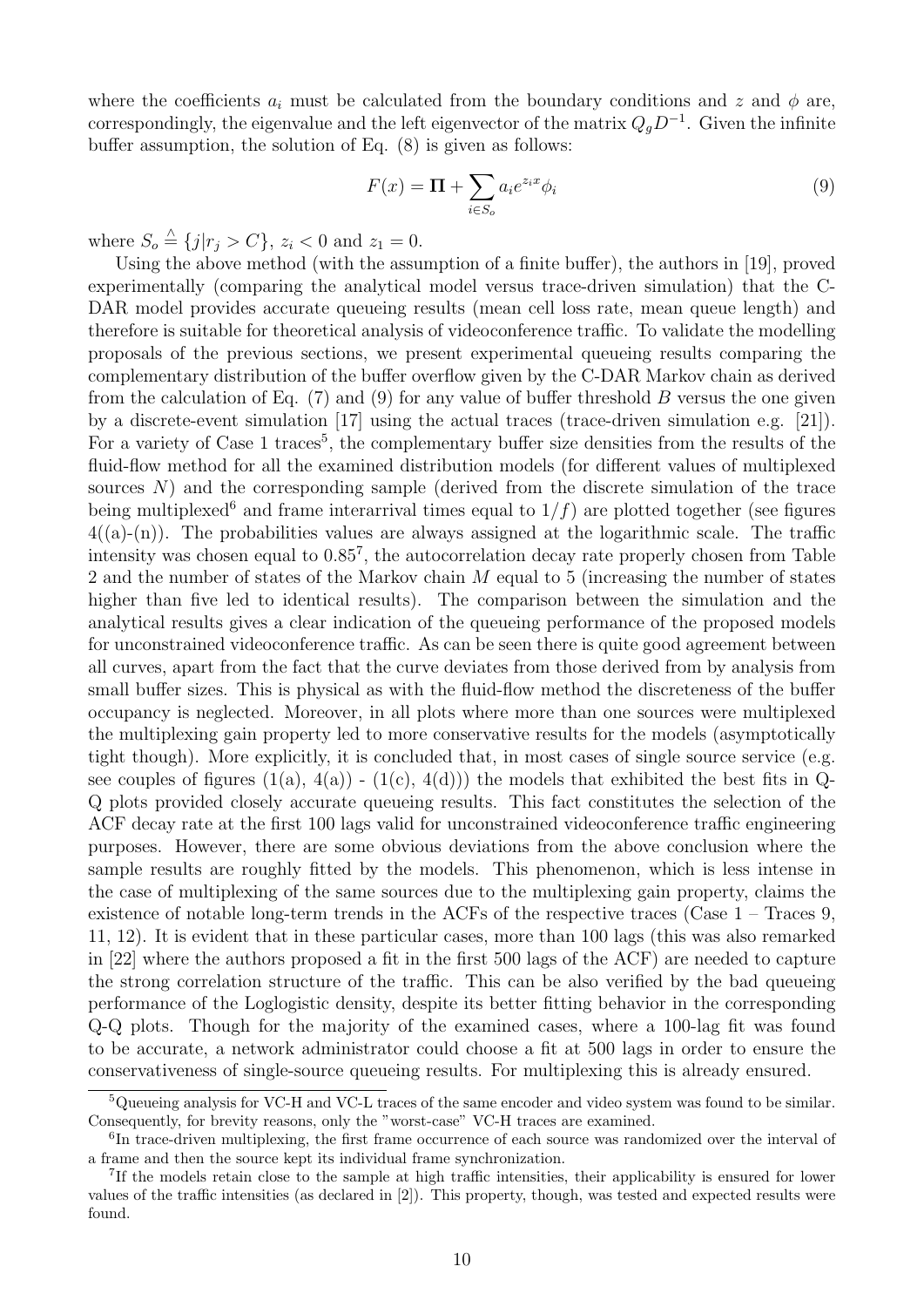where the coefficients  $a_i$  must be calculated from the boundary conditions and z and  $\phi$  are, correspondingly, the eigenvalue and the left eigenvector of the matrix  $Q_gD^{-1}$ . Given the infinite buffer assumption, the solution of Eq. (8) is given as follows:

$$
F(x) = \Pi + \sum_{i \in S_o} a_i e^{z_i x} \phi_i \tag{9}
$$

where  $S_o \triangleq \{j | r_j > C\}$ ,  $z_i < 0$  and  $z_1 = 0$ .

Using the above method (with the assumption of a finite buffer), the authors in [19], proved experimentally (comparing the analytical model versus trace-driven simulation) that the C-DAR model provides accurate queueing results (mean cell loss rate, mean queue length) and therefore is suitable for theoretical analysis of videoconference traffic. To validate the modelling proposals of the previous sections, we present experimental queueing results comparing the complementary distribution of the buffer overflow given by the C-DAR Markov chain as derived from the calculation of Eq.  $(7)$  and  $(9)$  for any value of buffer threshold B versus the one given by a discrete-event simulation [17] using the actual traces (trace-driven simulation e.g. [21]). For a variety of Case 1 traces<sup>5</sup>, the complementary buffer size densities from the results of the fluid-flow method for all the examined distribution models (for different values of multiplexed sources  $N$ ) and the corresponding sample (derived from the discrete simulation of the trace being multiplexed<sup>6</sup> and frame interarrival times equal to  $1/f$ ) are plotted together (see figures  $4((a)-(n))$ . The probabilities values are always assigned at the logarithmic scale. The traffic intensity was chosen equal to 0.85<sup>7</sup> , the autocorrelation decay rate properly chosen from Table 2 and the number of states of the Markov chain M equal to 5 (increasing the number of states higher than five led to identical results). The comparison between the simulation and the analytical results gives a clear indication of the queueing performance of the proposed models for unconstrained videoconference traffic. As can be seen there is quite good agreement between all curves, apart from the fact that the curve deviates from those derived from by analysis from small buffer sizes. This is physical as with the fluid-flow method the discreteness of the buffer occupancy is neglected. Moreover, in all plots where more than one sources were multiplexed the multiplexing gain property led to more conservative results for the models (asymptotically tight though). More explicitly, it is concluded that, in most cases of single source service (e.g. see couples of figures  $(1(a), 4(a))$  -  $(1(c), 4(d))$  the models that exhibited the best fits in Q-Q plots provided closely accurate queueing results. This fact constitutes the selection of the ACF decay rate at the first 100 lags valid for unconstrained videoconference traffic engineering purposes. However, there are some obvious deviations from the above conclusion where the sample results are roughly fitted by the models. This phenomenon, which is less intense in the case of multiplexing of the same sources due to the multiplexing gain property, claims the existence of notable long-term trends in the ACFs of the respective traces (Case 1 – Traces 9, 11, 12). It is evident that in these particular cases, more than 100 lags (this was also remarked in [22] where the authors proposed a fit in the first 500 lags of the ACF) are needed to capture the strong correlation structure of the traffic. This can be also verified by the bad queueing performance of the Loglogistic density, despite its better fitting behavior in the corresponding Q-Q plots. Though for the majority of the examined cases, where a 100-lag fit was found to be accurate, a network administrator could choose a fit at 500 lags in order to ensure the conservativeness of single-source queueing results. For multiplexing this is already ensured.

<sup>5</sup>Queueing analysis for VC-H and VC-L traces of the same encoder and video system was found to be similar. Consequently, for brevity reasons, only the "worst-case" VC-H traces are examined.

<sup>&</sup>lt;sup>6</sup>In trace-driven multiplexing, the first frame occurrence of each source was randomized over the interval of a frame and then the source kept its individual frame synchronization.

<sup>&</sup>lt;sup>7</sup>If the models retain close to the sample at high traffic intensities, their applicability is ensured for lower values of the traffic intensities (as declared in [2]). This property, though, was tested and expected results were found.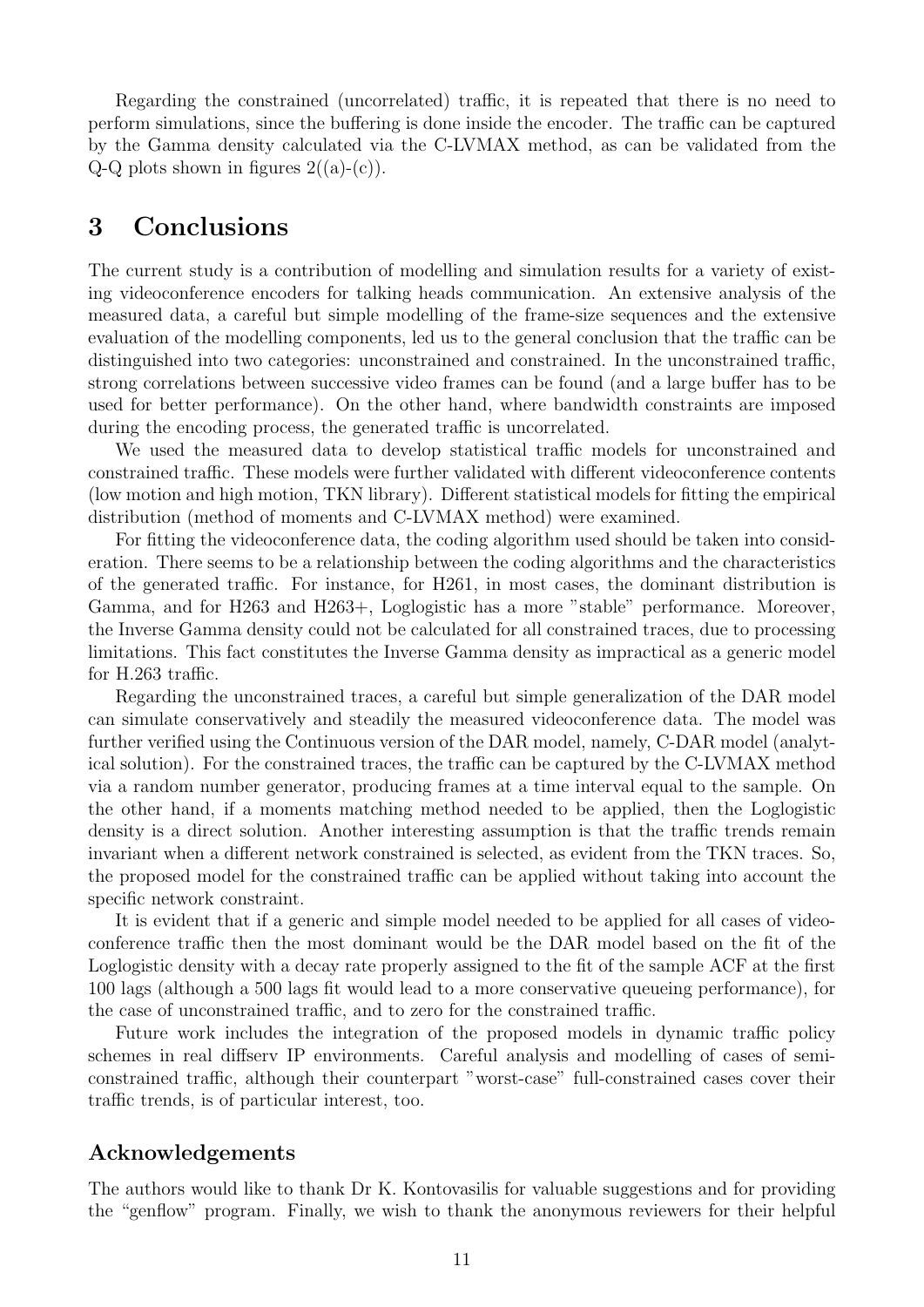Regarding the constrained (uncorrelated) traffic, it is repeated that there is no need to perform simulations, since the buffering is done inside the encoder. The traffic can be captured by the Gamma density calculated via the C-LVMAX method, as can be validated from the Q-Q plots shown in figures  $2((a)-(c))$ .

### 3 Conclusions

The current study is a contribution of modelling and simulation results for a variety of existing videoconference encoders for talking heads communication. An extensive analysis of the measured data, a careful but simple modelling of the frame-size sequences and the extensive evaluation of the modelling components, led us to the general conclusion that the traffic can be distinguished into two categories: unconstrained and constrained. In the unconstrained traffic, strong correlations between successive video frames can be found (and a large buffer has to be used for better performance). On the other hand, where bandwidth constraints are imposed during the encoding process, the generated traffic is uncorrelated.

We used the measured data to develop statistical traffic models for unconstrained and constrained traffic. These models were further validated with different videoconference contents (low motion and high motion, TKN library). Different statistical models for fitting the empirical distribution (method of moments and C-LVMAX method) were examined.

For fitting the videoconference data, the coding algorithm used should be taken into consideration. There seems to be a relationship between the coding algorithms and the characteristics of the generated traffic. For instance, for H261, in most cases, the dominant distribution is Gamma, and for H263 and H263+, Loglogistic has a more "stable" performance. Moreover, the Inverse Gamma density could not be calculated for all constrained traces, due to processing limitations. This fact constitutes the Inverse Gamma density as impractical as a generic model for H.263 traffic.

Regarding the unconstrained traces, a careful but simple generalization of the DAR model can simulate conservatively and steadily the measured videoconference data. The model was further verified using the Continuous version of the DAR model, namely, C-DAR model (analytical solution). For the constrained traces, the traffic can be captured by the C-LVMAX method via a random number generator, producing frames at a time interval equal to the sample. On the other hand, if a moments matching method needed to be applied, then the Loglogistic density is a direct solution. Another interesting assumption is that the traffic trends remain invariant when a different network constrained is selected, as evident from the TKN traces. So, the proposed model for the constrained traffic can be applied without taking into account the specific network constraint.

It is evident that if a generic and simple model needed to be applied for all cases of videoconference traffic then the most dominant would be the DAR model based on the fit of the Loglogistic density with a decay rate properly assigned to the fit of the sample ACF at the first 100 lags (although a 500 lags fit would lead to a more conservative queueing performance), for the case of unconstrained traffic, and to zero for the constrained traffic.

Future work includes the integration of the proposed models in dynamic traffic policy schemes in real diffserv IP environments. Careful analysis and modelling of cases of semiconstrained traffic, although their counterpart "worst-case" full-constrained cases cover their traffic trends, is of particular interest, too.

#### Acknowledgements

The authors would like to thank Dr K. Kontovasilis for valuable suggestions and for providing the "genflow" program. Finally, we wish to thank the anonymous reviewers for their helpful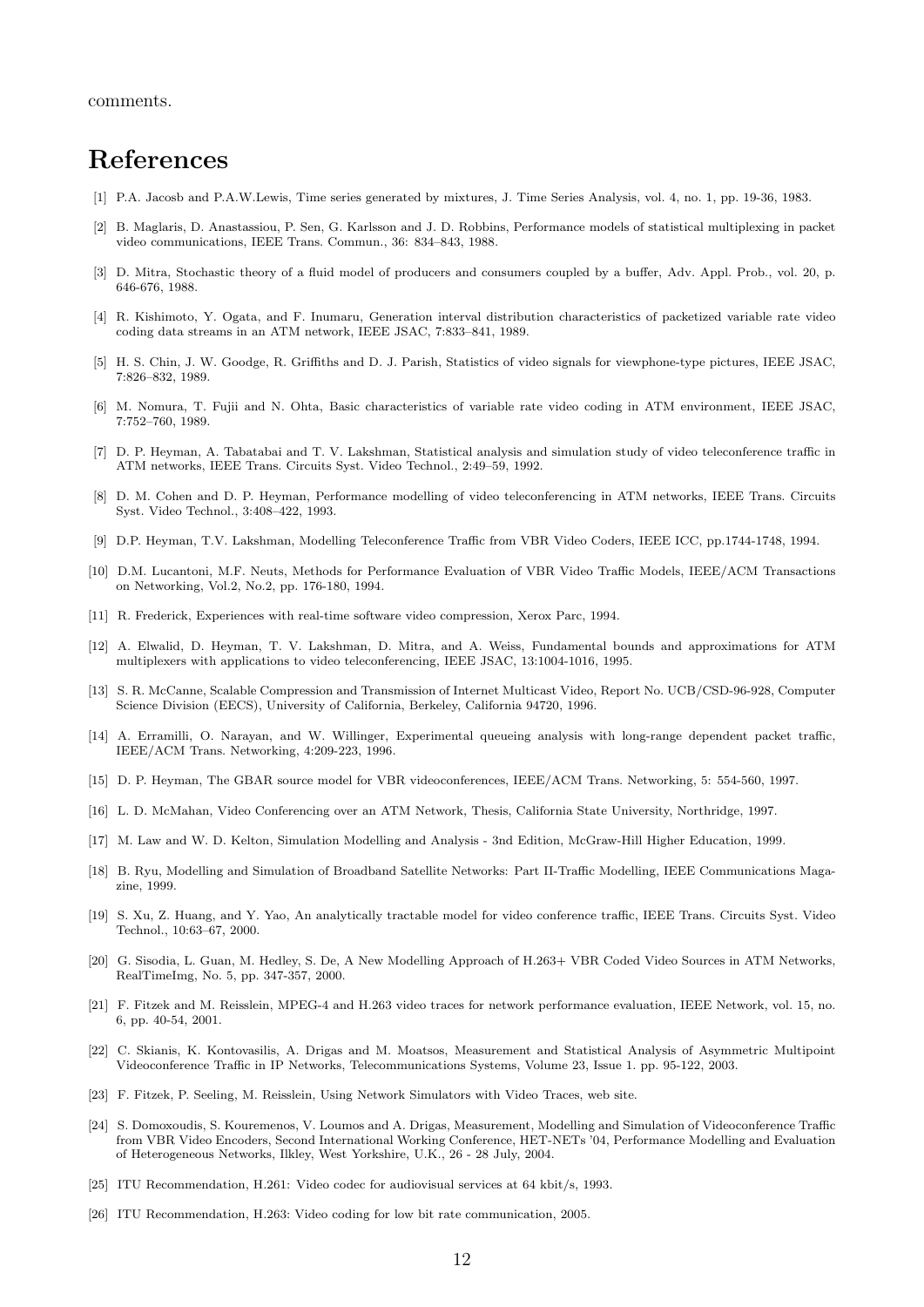# References

- [1] P.A. Jacosb and P.A.W.Lewis, Time series generated by mixtures, J. Time Series Analysis, vol. 4, no. 1, pp. 19-36, 1983.
- [2] B. Maglaris, D. Anastassiou, P. Sen, G. Karlsson and J. D. Robbins, Performance models of statistical multiplexing in packet video communications, IEEE Trans. Commun., 36: 834–843, 1988.
- [3] D. Mitra, Stochastic theory of a fluid model of producers and consumers coupled by a buffer, Adv. Appl. Prob., vol. 20, p. 646-676, 1988.
- [4] R. Kishimoto, Y. Ogata, and F. Inumaru, Generation interval distribution characteristics of packetized variable rate video coding data streams in an ATM network, IEEE JSAC, 7:833–841, 1989.
- [5] H. S. Chin, J. W. Goodge, R. Griffiths and D. J. Parish, Statistics of video signals for viewphone-type pictures, IEEE JSAC, 7:826–832, 1989.
- [6] M. Nomura, T. Fujii and N. Ohta, Basic characteristics of variable rate video coding in ATM environment, IEEE JSAC, 7:752–760, 1989.
- [7] D. P. Heyman, A. Tabatabai and T. V. Lakshman, Statistical analysis and simulation study of video teleconference traffic in ATM networks, IEEE Trans. Circuits Syst. Video Technol., 2:49–59, 1992.
- [8] D. M. Cohen and D. P. Heyman, Performance modelling of video teleconferencing in ATM networks, IEEE Trans. Circuits Syst. Video Technol., 3:408–422, 1993.
- [9] D.P. Heyman, T.V. Lakshman, Modelling Teleconference Traffic from VBR Video Coders, IEEE ICC, pp.1744-1748, 1994.
- [10] D.M. Lucantoni, M.F. Neuts, Methods for Performance Evaluation of VBR Video Traffic Models, IEEE/ACM Transactions on Networking, Vol.2, No.2, pp. 176-180, 1994.
- [11] R. Frederick, Experiences with real-time software video compression, Xerox Parc, 1994.
- [12] A. Elwalid, D. Heyman, T. V. Lakshman, D. Mitra, and A. Weiss, Fundamental bounds and approximations for ATM multiplexers with applications to video teleconferencing, IEEE JSAC, 13:1004-1016, 1995.
- [13] S. R. McCanne, Scalable Compression and Transmission of Internet Multicast Video, Report No. UCB/CSD-96-928, Computer Science Division (EECS), University of California, Berkeley, California 94720, 1996.
- [14] A. Erramilli, O. Narayan, and W. Willinger, Experimental queueing analysis with long-range dependent packet traffic, IEEE/ACM Trans. Networking, 4:209-223, 1996.
- [15] D. P. Heyman, The GBAR source model for VBR videoconferences, IEEE/ACM Trans. Networking, 5: 554-560, 1997.
- [16] L. D. McMahan, Video Conferencing over an ATM Network, Thesis, California State University, Northridge, 1997.
- [17] M. Law and W. D. Kelton, Simulation Modelling and Analysis 3nd Edition, McGraw-Hill Higher Education, 1999.
- [18] B. Ryu, Modelling and Simulation of Broadband Satellite Networks: Part II-Traffic Modelling, IEEE Communications Magazine, 1999.
- [19] S. Xu, Z. Huang, and Y. Yao, An analytically tractable model for video conference traffic, IEEE Trans. Circuits Syst. Video Technol., 10:63–67, 2000.
- [20] G. Sisodia, L. Guan, M. Hedley, S. De, A New Modelling Approach of H.263+ VBR Coded Video Sources in ATM Networks, RealTimeImg, No. 5, pp. 347-357, 2000.
- [21] F. Fitzek and M. Reisslein, MPEG-4 and H.263 video traces for network performance evaluation, IEEE Network, vol. 15, no. 6, pp. 40-54, 2001.
- [22] C. Skianis, K. Kontovasilis, A. Drigas and M. Moatsos, Measurement and Statistical Analysis of Asymmetric Multipoint Videoconference Traffic in IP Networks, Telecommunications Systems, Volume 23, Issue 1. pp. 95-122, 2003.
- [23] F. Fitzek, P. Seeling, M. Reisslein, Using Network Simulators with Video Traces, web site.
- [24] S. Domoxoudis, S. Kouremenos, V. Loumos and A. Drigas, Measurement, Modelling and Simulation of Videoconference Traffic from VBR Video Encoders, Second International Working Conference, HET-NETs '04, Performance Modelling and Evaluation of Heterogeneous Networks, Ilkley, West Yorkshire, U.K., 26 - 28 July, 2004.
- [25] ITU Recommendation, H.261: Video codec for audiovisual services at 64 kbit/s, 1993.
- [26] ITU Recommendation, H.263: Video coding for low bit rate communication, 2005.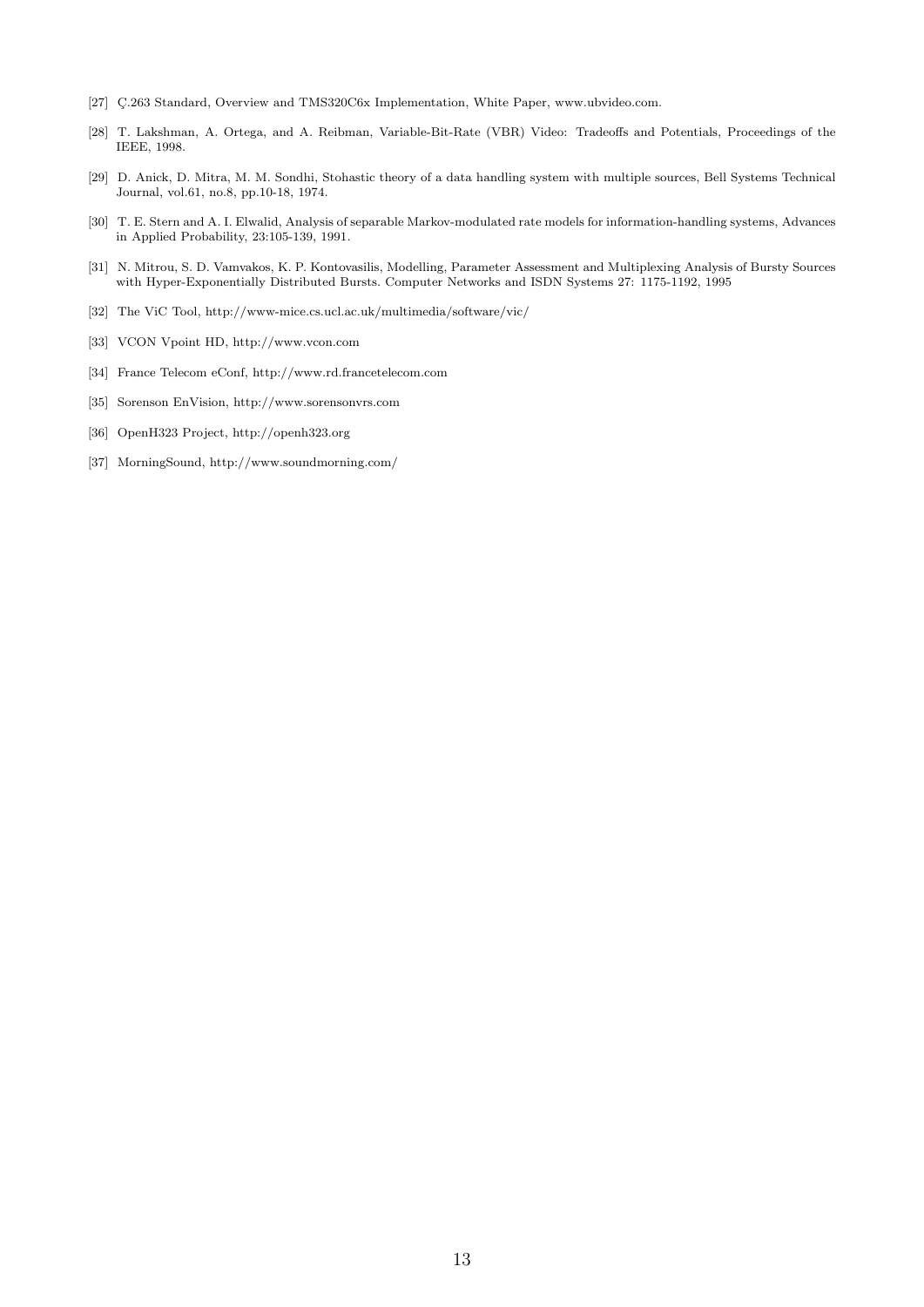- [27]  $C.263$  Standard, Overview and TMS320C6x Implementation, White Paper, www.ubvideo.com.
- [28] T. Lakshman, A. Ortega, and A. Reibman, Variable-Bit-Rate (VBR) Video: Tradeoffs and Potentials, Proceedings of the IEEE, 1998.
- [29] D. Anick, D. Mitra, M. M. Sondhi, Stohastic theory of a data handling system with multiple sources, Bell Systems Technical Journal, vol.61, no.8, pp.10-18, 1974.
- [30] T. E. Stern and A. I. Elwalid, Analysis of separable Markov-modulated rate models for information-handling systems, Advances in Applied Probability, 23:105-139, 1991.
- [31] N. Mitrou, S. D. Vamvakos, K. P. Kontovasilis, Modelling, Parameter Assessment and Multiplexing Analysis of Bursty Sources with Hyper-Exponentially Distributed Bursts. Computer Networks and ISDN Systems 27: 1175-1192, 1995
- [32] The ViC Tool, http://www-mice.cs.ucl.ac.uk/multimedia/software/vic/
- [33] VCON Vpoint HD, http://www.vcon.com
- [34] France Telecom eConf, http://www.rd.francetelecom.com
- [35] Sorenson EnVision, http://www.sorensonvrs.com
- [36] OpenH323 Project, http://openh323.org
- [37] MorningSound, http://www.soundmorning.com/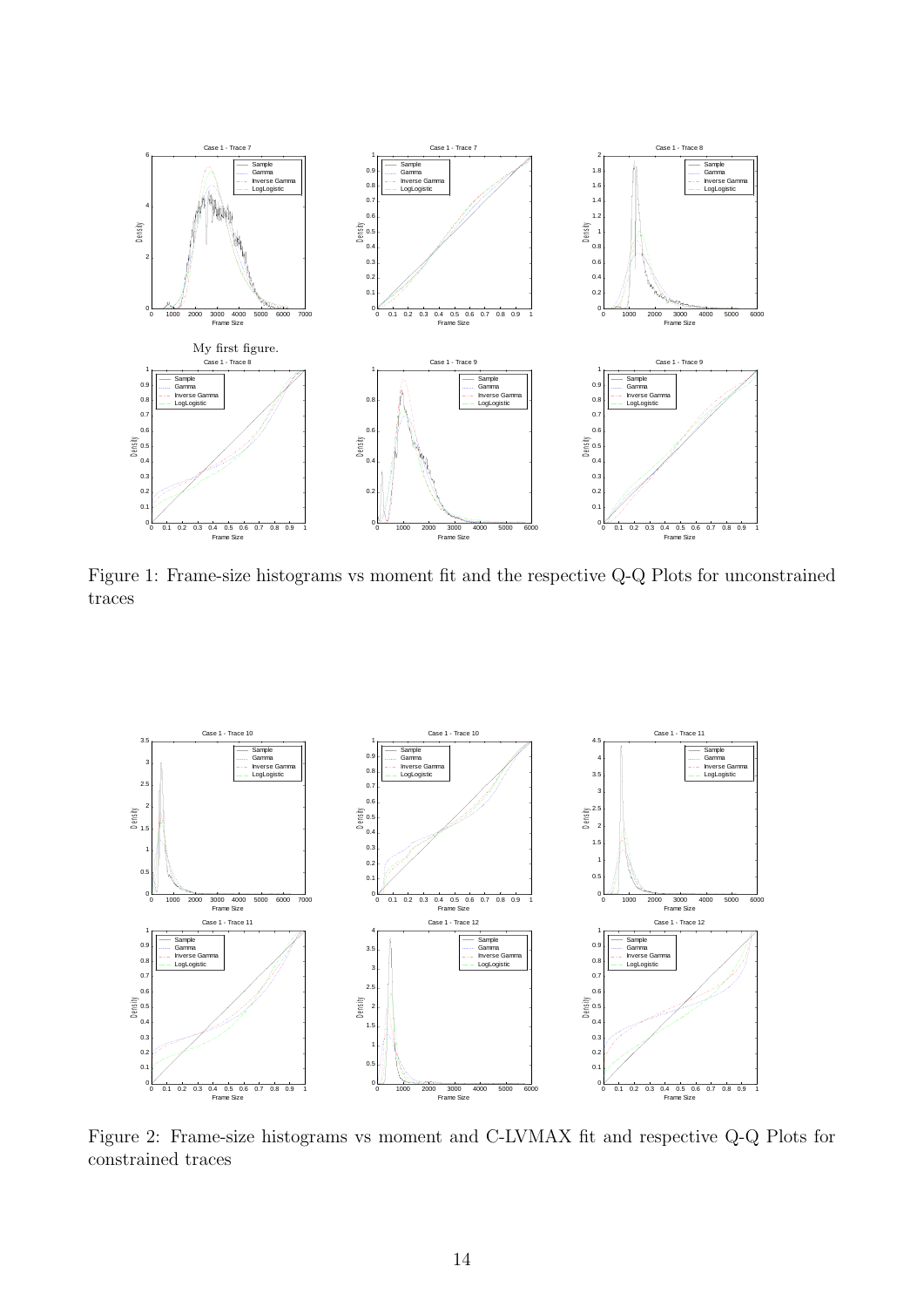

Figure 1: Frame-size histograms vs moment fit and the respective Q-Q Plots for unconstrained traces



Figure 2: Frame-size histograms vs moment and C-LVMAX fit and respective Q-Q Plots for constrained traces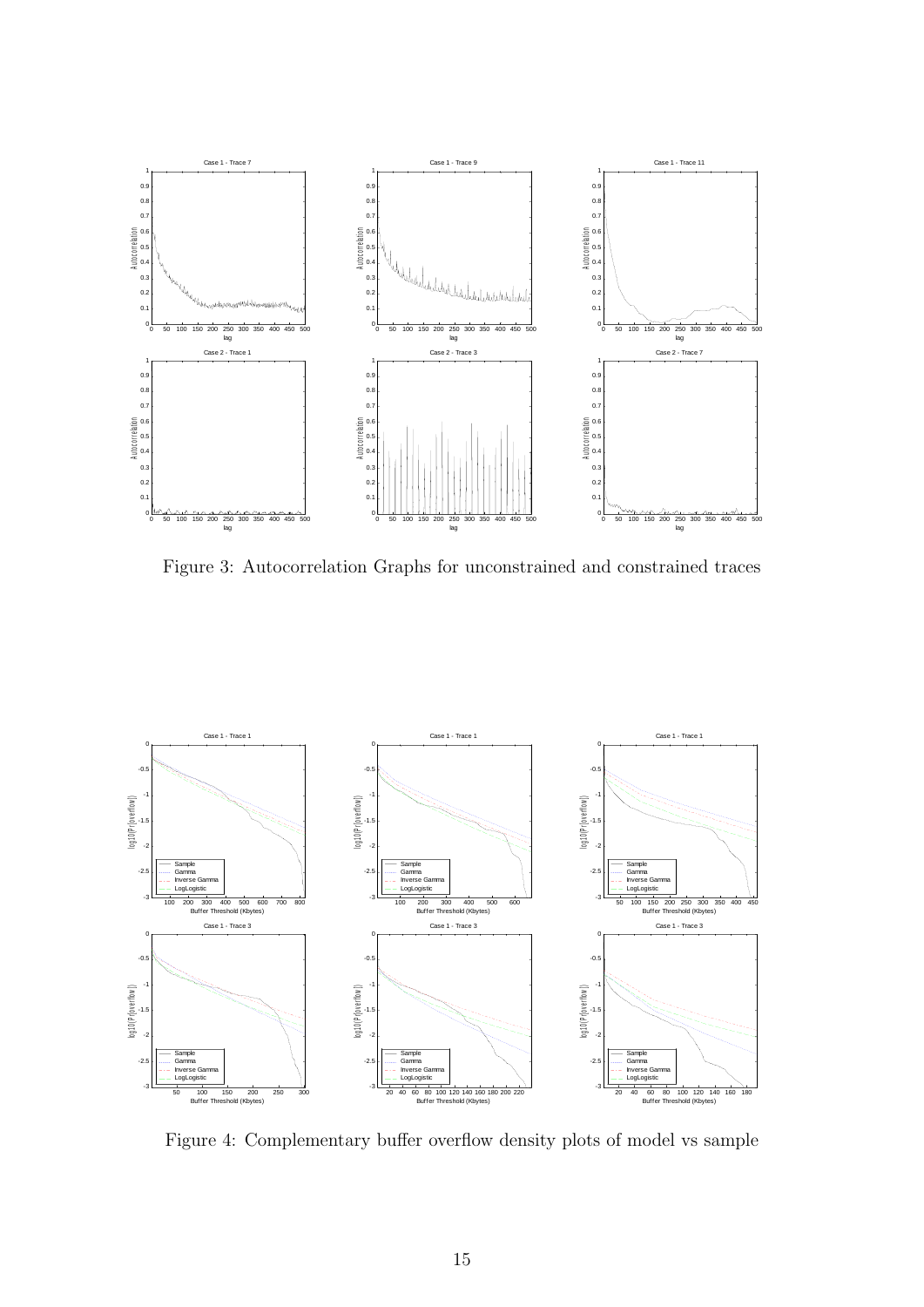

Figure 3: Autocorrelation Graphs for unconstrained and constrained traces



Figure 4: Complementary buffer overflow density plots of model vs sample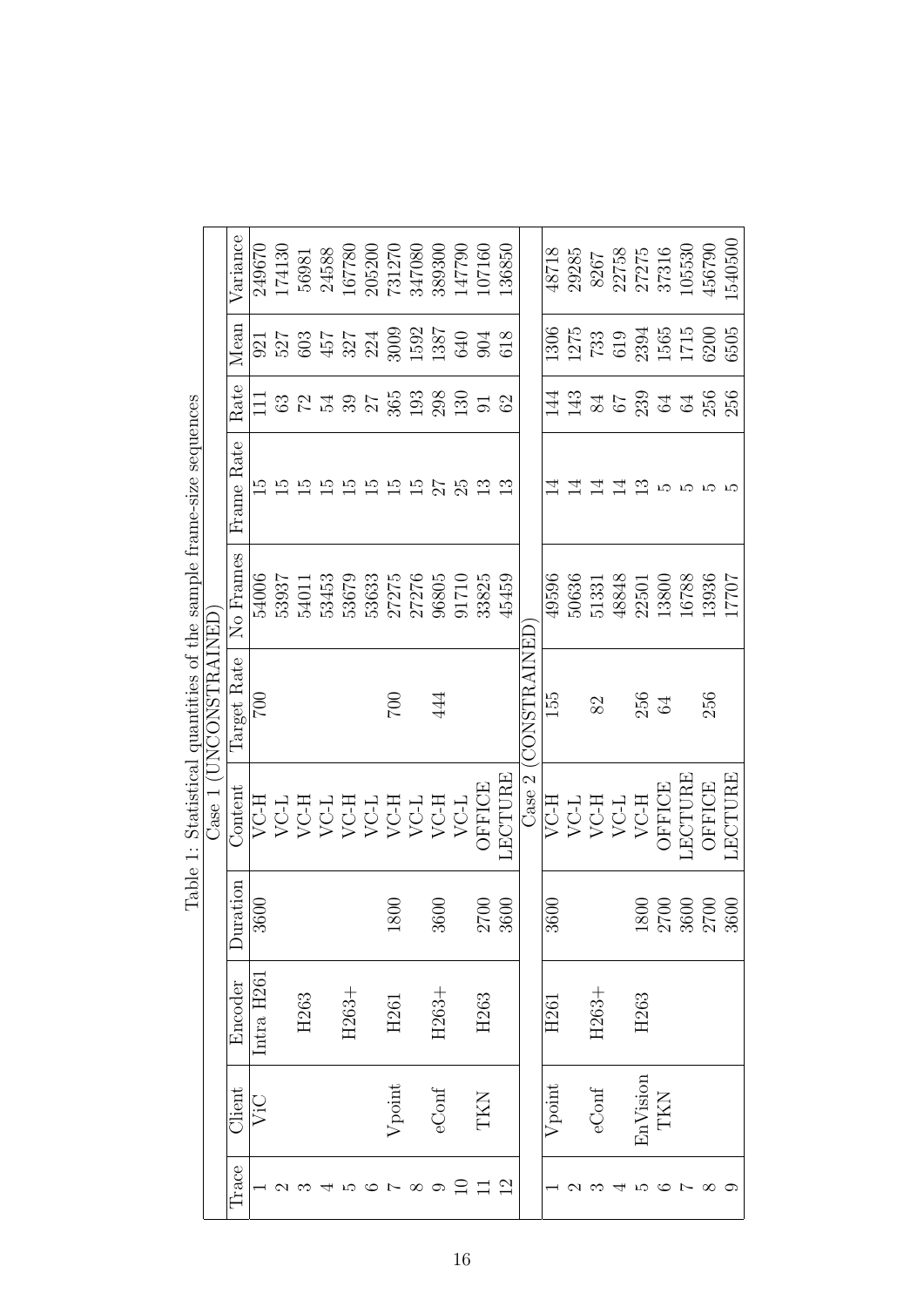|                       | Variance    | 249670     | 174130 | 56981            | 24588 | 167780                  | 205200 | 731270              | 347080                                               | 389300                 | 147790         | 107160         | 136850                  |             | 48718                      | 29285     | 8267        | 22758           | 27275        | 37316                          | 105530  | 156790                    | 1540500 |
|-----------------------|-------------|------------|--------|------------------|-------|-------------------------|--------|---------------------|------------------------------------------------------|------------------------|----------------|----------------|-------------------------|-------------|----------------------------|-----------|-------------|-----------------|--------------|--------------------------------|---------|---------------------------|---------|
|                       | Mean        | 921        | 527    |                  |       | $603$<br>$457$<br>$324$ |        | 3009                | 1592                                                 | 1387                   | 640            | 904            | 618                     |             | 1306                       | 1275      | $733\,$     | 619             | 2394         | 1565                           | 1715    | 6200                      | 6505    |
|                       | Rate        | Ξ          |        |                  |       |                         |        |                     | ខេដង ទី ដូច ទី ទី មី ដូ                              |                        |                |                | 62                      |             |                            | 14<br>143 |             | $35.583$ $35.3$ |              |                                |         | 256<br>256                |         |
|                       | Frame Rate  | IJ         | ᡅ᠑     | ro               | ro    | ro                      | ro     | ဟ                   | rc                                                   | $\overline{z}$         | $\mathbb{Z}^2$ | $\mathbf{c}$   | က                       |             |                            |           | 1111        |                 | $\mathbb{C}$ | IJ                             |         |                           | مد      |
|                       | No Frames   | 54006      | 53937  | 54011            | 53453 | 53679                   | 53633  | 27275               | 27276                                                | 96805                  | 91710          | 33825          | 45459                   |             | 49596                      | 50636     | 51331       | 48848           | 22501        | 13800                          | 16788   | 13936                     | 17707   |
| Case 1 (UNCONSTRAINED | Target Rate | 700        |        |                  |       |                         |        | $700\,$             |                                                      | 444                    |                |                |                         | CONSTRAINED | 155                        |           | 82          |                 | 256          | 64                             |         | 256                       |         |
|                       | Content     | VC-H       |        |                  |       |                         |        |                     | HDCH<br>NOTH<br>NOTH<br>NOTH<br>NOTH<br>NOTH<br>NOTH |                        | VC-L           | OFFICE         | LECTURE                 | Case 2      | NCTH<br>ACT<br>ACTH<br>ACT |           |             |                 | VC-H         | OFFICE                         | LECTURE | <b>OFFICE</b>             | LECTURE |
|                       | Duration    | 3600       |        |                  |       |                         |        | 8<br>$\frac{8}{18}$ |                                                      | $\infty$<br>$36\,$     |                | $\Theta$<br>27 | 3600                    |             | 3600                       |           |             |                 |              | 1800<br>2700                   | 3600    | $\odot$<br>$\overline{z}$ | 3600    |
|                       | Encoder     | Intra H261 |        | H <sub>263</sub> |       | $H263+$                 |        | H261                |                                                      | $H263+$                |                | H263           |                         |             | H <sub>261</sub>           |           | $H263+$     |                 | H263         |                                |         |                           |         |
|                       | Client      | ViC        |        |                  |       |                         |        | Vpoint              |                                                      | $\operatorname{eConf}$ |                | TKN            |                         |             | Vpoint                     |           | $\rm eConf$ |                 |              | $\frac{\rm EnVision}{\rm TKN}$ |         |                           |         |
|                       | Trace       |            |        |                  |       |                         |        |                     | $\infty$                                             | $\circ$                | $\Xi$          | $\Box$         | $\frac{\Omega}{\Gamma}$ |             |                            |           |             |                 | IJ           |                                |         | $\infty$                  | ా       |

Table 1: Statistical quantities of the sample frame-size sequences Table 1: Statistical quantities of the sample frame-size sequences